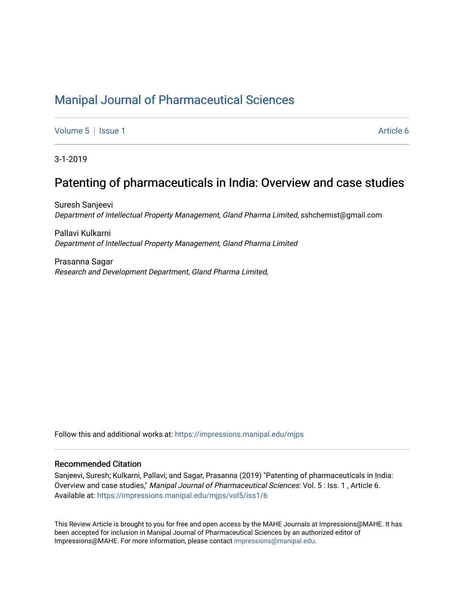# [Manipal Journal of Pharmaceutical Sciences](https://impressions.manipal.edu/mjps)

[Volume 5](https://impressions.manipal.edu/mjps/vol5) | [Issue 1](https://impressions.manipal.edu/mjps/vol5/iss1) Article 6

3-1-2019

# Patenting of pharmaceuticals in India: Overview and case studies

Suresh Sanjeevi Department of Intellectual Property Management, Gland Pharma Limited, sshchemist@gmail.com

Pallavi Kulkarni Department of Intellectual Property Management, Gland Pharma Limited

Prasanna Sagar Research and Development Department, Gland Pharma Limited,

Follow this and additional works at: [https://impressions.manipal.edu/mjps](https://impressions.manipal.edu/mjps?utm_source=impressions.manipal.edu%2Fmjps%2Fvol5%2Fiss1%2F6&utm_medium=PDF&utm_campaign=PDFCoverPages)

### Recommended Citation

Sanjeevi, Suresh; Kulkarni, Pallavi; and Sagar, Prasanna (2019) "Patenting of pharmaceuticals in India: Overview and case studies," Manipal Journal of Pharmaceutical Sciences: Vol. 5 : Iss. 1 , Article 6. Available at: [https://impressions.manipal.edu/mjps/vol5/iss1/6](https://impressions.manipal.edu/mjps/vol5/iss1/6?utm_source=impressions.manipal.edu%2Fmjps%2Fvol5%2Fiss1%2F6&utm_medium=PDF&utm_campaign=PDFCoverPages)

This Review Article is brought to you for free and open access by the MAHE Journals at Impressions@MAHE. It has been accepted for inclusion in Manipal Journal of Pharmaceutical Sciences by an authorized editor of Impressions@MAHE. For more information, please contact [impressions@manipal.edu](mailto:impressions@manipal.edu).